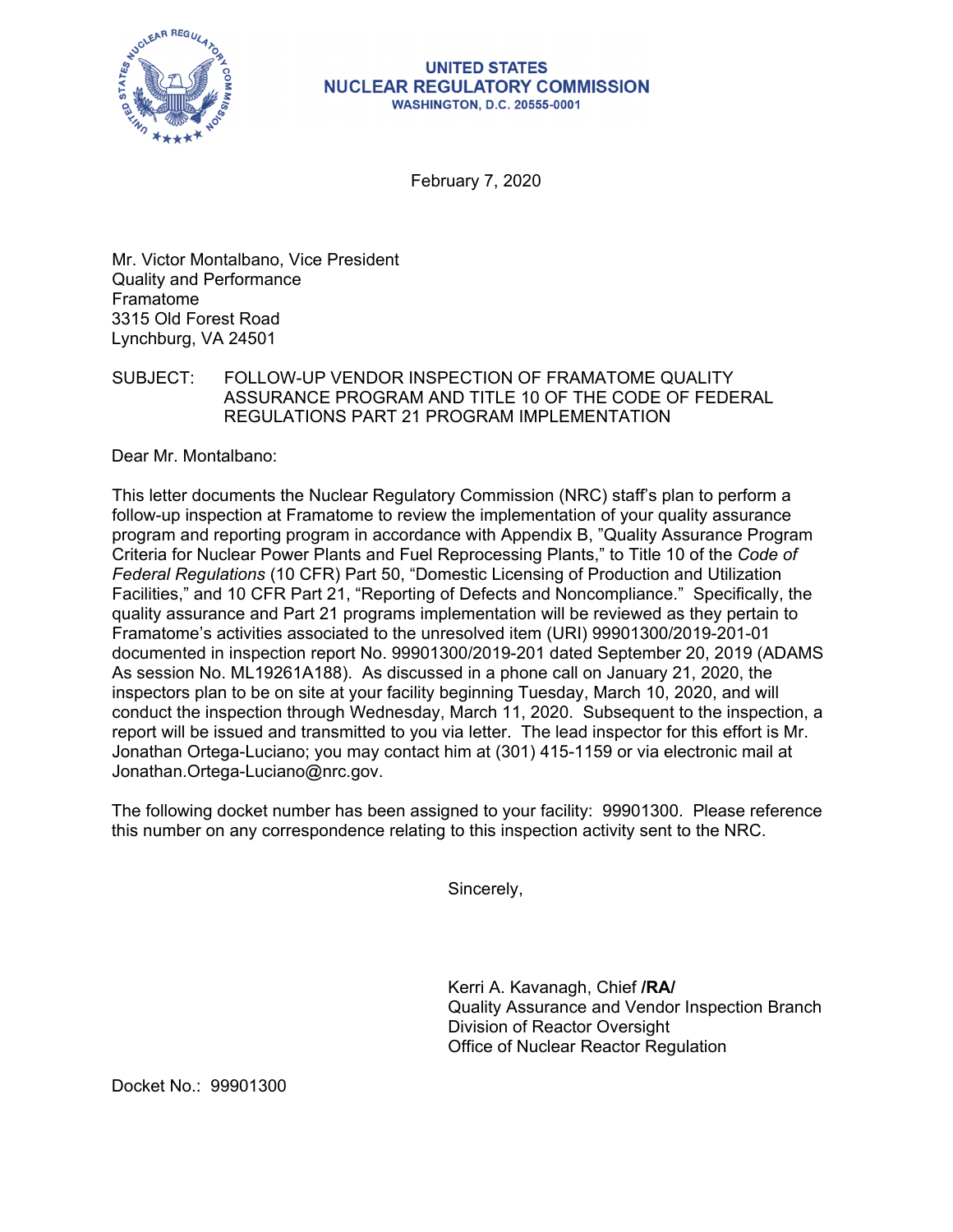

## **UNITED STATES NUCLEAR REGULATORY COMMISSION WASHINGTON, D.C. 20555-0001**

February 7, 2020

Mr. Victor Montalbano, Vice President Quality and Performance Framatome 3315 Old Forest Road Lynchburg, VA 24501

## SUBJECT: FOLLOW-UP VENDOR INSPECTION OF FRAMATOME QUALITY ASSURANCE PROGRAM AND TITLE 10 OF THE CODE OF FEDERAL REGULATIONS PART 21 PROGRAM IMPLEMENTATION

Dear Mr. Montalbano:

This letter documents the Nuclear Regulatory Commission (NRC) staff's plan to perform a follow-up inspection at Framatome to review the implementation of your quality assurance program and reporting program in accordance with Appendix B, "Quality Assurance Program Criteria for Nuclear Power Plants and Fuel Reprocessing Plants," to Title 10 of the *Code of Federal Regulations* (10 CFR) Part 50, "Domestic Licensing of Production and Utilization Facilities," and 10 CFR Part 21, "Reporting of Defects and Noncompliance." Specifically, the quality assurance and Part 21 programs implementation will be reviewed as they pertain to Framatome's activities associated to the unresolved item (URI) 99901300/2019-201-01 documented in inspection report No. 99901300/2019-201 dated September 20, 2019 (ADAMS As session No. ML19261A188). As discussed in a phone call on January 21, 2020, the inspectors plan to be on site at your facility beginning Tuesday, March 10, 2020, and will conduct the inspection through Wednesday, March 11, 2020. Subsequent to the inspection, a report will be issued and transmitted to you via letter. The lead inspector for this effort is Mr. Jonathan Ortega-Luciano; you may contact him at (301) 415-1159 or via electronic mail at Jonathan.Ortega-Luciano@nrc.gov.

The following docket number has been assigned to your facility: 99901300. Please reference this number on any correspondence relating to this inspection activity sent to the NRC.

Sincerely,

Kerri A. Kavanagh, Chief **/RA/**  Quality Assurance and Vendor Inspection Branch Division of Reactor Oversight Office of Nuclear Reactor Regulation

Docket No.: 99901300